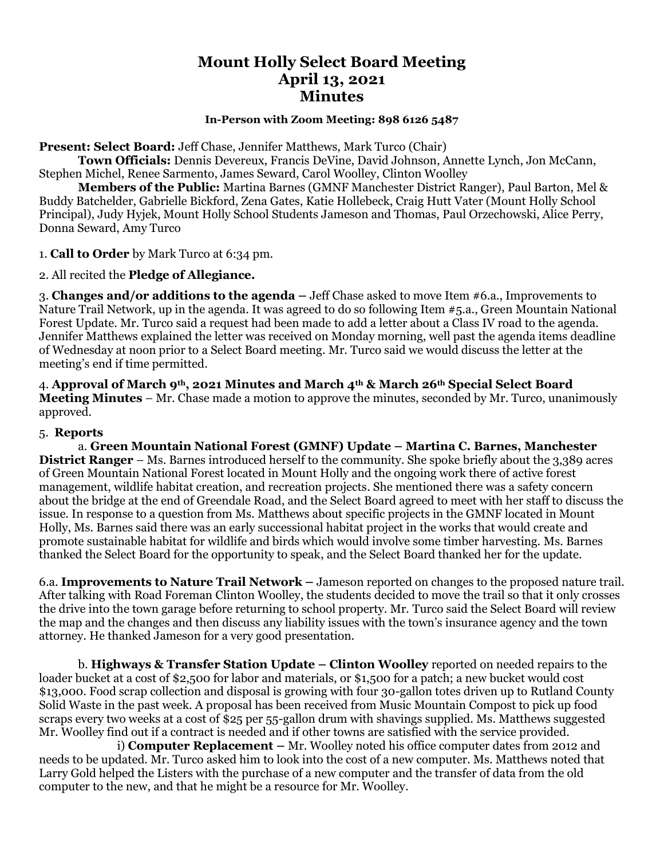# **Mount Holly Select Board Meeting April 13, 2021 Minutes**

#### **In-Person with Zoom Meeting: 898 6126 5487**

**Present: Select Board:** Jeff Chase, Jennifer Matthews, Mark Turco (Chair)

**Town Officials:** Dennis Devereux, Francis DeVine, David Johnson, Annette Lynch, Jon McCann, Stephen Michel, Renee Sarmento, James Seward, Carol Woolley, Clinton Woolley

**Members of the Public:** Martina Barnes (GMNF Manchester District Ranger), Paul Barton, Mel & Buddy Batchelder, Gabrielle Bickford, Zena Gates, Katie Hollebeck, Craig Hutt Vater (Mount Holly School Principal), Judy Hyjek, Mount Holly School Students Jameson and Thomas, Paul Orzechowski, Alice Perry, Donna Seward, Amy Turco

1. **Call to Order** by Mark Turco at 6:34 pm.

2. All recited the **Pledge of Allegiance.**

3. **Changes and/or additions to the agenda –** Jeff Chase asked to move Item #6.a., Improvements to Nature Trail Network, up in the agenda. It was agreed to do so following Item #5.a., Green Mountain National Forest Update. Mr. Turco said a request had been made to add a letter about a Class IV road to the agenda. Jennifer Matthews explained the letter was received on Monday morning, well past the agenda items deadline of Wednesday at noon prior to a Select Board meeting. Mr. Turco said we would discuss the letter at the meeting's end if time permitted.

4. **Approval of March 9th, 2021 Minutes and March 4th & March 26th Special Select Board Meeting Minutes** – Mr. Chase made a motion to approve the minutes, seconded by Mr. Turco, unanimously approved.

### 5. **Reports**

a. **Green Mountain National Forest (GMNF) Update – Martina C. Barnes, Manchester District Ranger** – Ms. Barnes introduced herself to the community. She spoke briefly about the 3,389 acres of Green Mountain National Forest located in Mount Holly and the ongoing work there of active forest management, wildlife habitat creation, and recreation projects. She mentioned there was a safety concern about the bridge at the end of Greendale Road, and the Select Board agreed to meet with her staff to discuss the issue. In response to a question from Ms. Matthews about specific projects in the GMNF located in Mount Holly, Ms. Barnes said there was an early successional habitat project in the works that would create and promote sustainable habitat for wildlife and birds which would involve some timber harvesting. Ms. Barnes thanked the Select Board for the opportunity to speak, and the Select Board thanked her for the update.

6.a. **Improvements to Nature Trail Network –** Jameson reported on changes to the proposed nature trail. After talking with Road Foreman Clinton Woolley, the students decided to move the trail so that it only crosses the drive into the town garage before returning to school property. Mr. Turco said the Select Board will review the map and the changes and then discuss any liability issues with the town's insurance agency and the town attorney. He thanked Jameson for a very good presentation.

b. **Highways & Transfer Station Update – Clinton Woolley** reported on needed repairs to the loader bucket at a cost of \$2,500 for labor and materials, or \$1,500 for a patch; a new bucket would cost \$13,000. Food scrap collection and disposal is growing with four 30-gallon totes driven up to Rutland County Solid Waste in the past week. A proposal has been received from Music Mountain Compost to pick up food scraps every two weeks at a cost of \$25 per 55-gallon drum with shavings supplied. Ms. Matthews suggested Mr. Woolley find out if a contract is needed and if other towns are satisfied with the service provided.

i) **Computer Replacement –** Mr. Woolley noted his office computer dates from 2012 and needs to be updated. Mr. Turco asked him to look into the cost of a new computer. Ms. Matthews noted that Larry Gold helped the Listers with the purchase of a new computer and the transfer of data from the old computer to the new, and that he might be a resource for Mr. Woolley.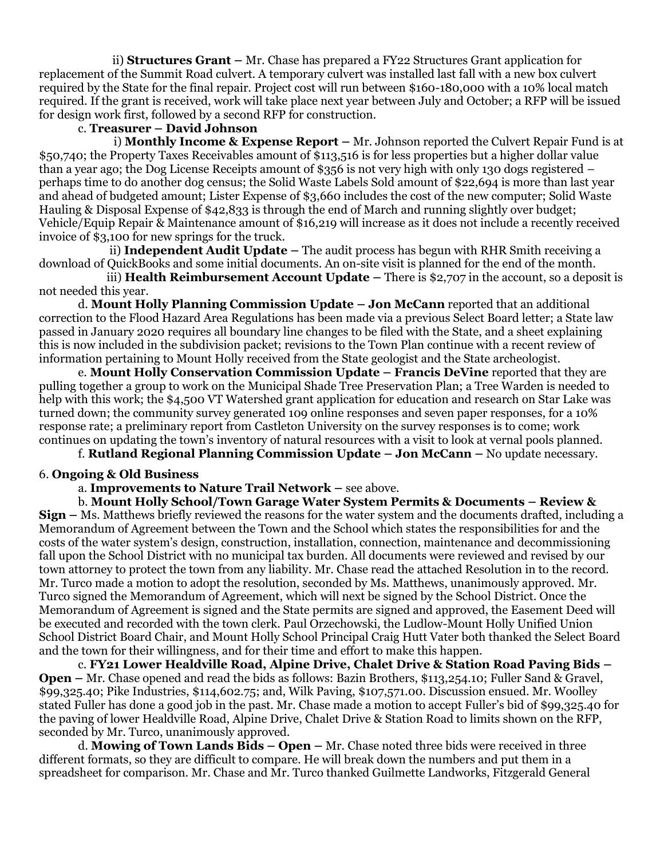ii) **Structures Grant –** Mr. Chase has prepared a FY22 Structures Grant application for replacement of the Summit Road culvert. A temporary culvert was installed last fall with a new box culvert required by the State for the final repair. Project cost will run between \$160-180,000 with a 10% local match required. If the grant is received, work will take place next year between July and October; a RFP will be issued for design work first, followed by a second RFP for construction.

## c. **Treasurer – David Johnson**

 i) **Monthly Income & Expense Report –** Mr. Johnson reported the Culvert Repair Fund is at \$50,740; the Property Taxes Receivables amount of \$113,516 is for less properties but a higher dollar value than a year ago; the Dog License Receipts amount of \$356 is not very high with only 130 dogs registered – perhaps time to do another dog census; the Solid Waste Labels Sold amount of \$22,694 is more than last year and ahead of budgeted amount; Lister Expense of \$3,660 includes the cost of the new computer; Solid Waste Hauling & Disposal Expense of \$42,833 is through the end of March and running slightly over budget; Vehicle/Equip Repair & Maintenance amount of \$16,219 will increase as it does not include a recently received invoice of \$3,100 for new springs for the truck.

 ii) **Independent Audit Update –** The audit process has begun with RHR Smith receiving a download of QuickBooks and some initial documents. An on-site visit is planned for the end of the month.

iii) **Health Reimbursement Account Update –** There is \$2,707 in the account, so a deposit is not needed this year.

d. **Mount Holly Planning Commission Update – Jon McCann** reported that an additional correction to the Flood Hazard Area Regulations has been made via a previous Select Board letter; a State law passed in January 2020 requires all boundary line changes to be filed with the State, and a sheet explaining this is now included in the subdivision packet; revisions to the Town Plan continue with a recent review of information pertaining to Mount Holly received from the State geologist and the State archeologist.

e. **Mount Holly Conservation Commission Update – Francis DeVine** reported that they are pulling together a group to work on the Municipal Shade Tree Preservation Plan; a Tree Warden is needed to help with this work; the \$4,500 VT Watershed grant application for education and research on Star Lake was turned down; the community survey generated 109 online responses and seven paper responses, for a 10% response rate; a preliminary report from Castleton University on the survey responses is to come; work continues on updating the town's inventory of natural resources with a visit to look at vernal pools planned.

f. **Rutland Regional Planning Commission Update – Jon McCann –** No update necessary.

### 6. **Ongoing & Old Business**

a. **Improvements to Nature Trail Network –** see above.

b. **Mount Holly School/Town Garage Water System Permits & Documents – Review & Sign –** Ms. Matthews briefly reviewed the reasons for the water system and the documents drafted, including a Memorandum of Agreement between the Town and the School which states the responsibilities for and the costs of the water system's design, construction, installation, connection, maintenance and decommissioning fall upon the School District with no municipal tax burden. All documents were reviewed and revised by our town attorney to protect the town from any liability. Mr. Chase read the attached Resolution in to the record. Mr. Turco made a motion to adopt the resolution, seconded by Ms. Matthews, unanimously approved. Mr. Turco signed the Memorandum of Agreement, which will next be signed by the School District. Once the Memorandum of Agreement is signed and the State permits are signed and approved, the Easement Deed will be executed and recorded with the town clerk. Paul Orzechowski, the Ludlow-Mount Holly Unified Union School District Board Chair, and Mount Holly School Principal Craig Hutt Vater both thanked the Select Board and the town for their willingness, and for their time and effort to make this happen.

c. **FY21 Lower Healdville Road, Alpine Drive, Chalet Drive & Station Road Paving Bids – Open –** Mr. Chase opened and read the bids as follows: Bazin Brothers, \$113,254.10; Fuller Sand & Gravel, \$99,325.40; Pike Industries, \$114,602.75; and, Wilk Paving, \$107,571.00. Discussion ensued. Mr. Woolley stated Fuller has done a good job in the past. Mr. Chase made a motion to accept Fuller's bid of \$99,325.40 for the paving of lower Healdville Road, Alpine Drive, Chalet Drive & Station Road to limits shown on the RFP, seconded by Mr. Turco, unanimously approved.

d. **Mowing of Town Lands Bids – Open –** Mr. Chase noted three bids were received in three different formats, so they are difficult to compare. He will break down the numbers and put them in a spreadsheet for comparison. Mr. Chase and Mr. Turco thanked Guilmette Landworks, Fitzgerald General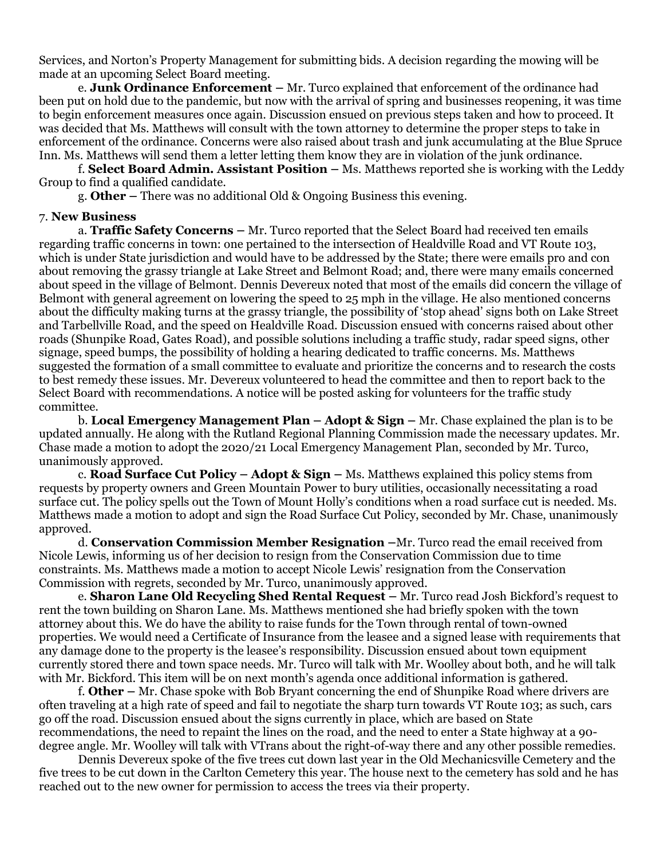Services, and Norton's Property Management for submitting bids. A decision regarding the mowing will be made at an upcoming Select Board meeting.

e. **Junk Ordinance Enforcement –** Mr. Turco explained that enforcement of the ordinance had been put on hold due to the pandemic, but now with the arrival of spring and businesses reopening, it was time to begin enforcement measures once again. Discussion ensued on previous steps taken and how to proceed. It was decided that Ms. Matthews will consult with the town attorney to determine the proper steps to take in enforcement of the ordinance. Concerns were also raised about trash and junk accumulating at the Blue Spruce Inn. Ms. Matthews will send them a letter letting them know they are in violation of the junk ordinance.

f. **Select Board Admin. Assistant Position –** Ms. Matthews reported she is working with the Leddy Group to find a qualified candidate.

g. **Other –** There was no additional Old & Ongoing Business this evening.

#### 7. **New Business**

a. **Traffic Safety Concerns –** Mr. Turco reported that the Select Board had received ten emails regarding traffic concerns in town: one pertained to the intersection of Healdville Road and VT Route 103, which is under State jurisdiction and would have to be addressed by the State; there were emails pro and con about removing the grassy triangle at Lake Street and Belmont Road; and, there were many emails concerned about speed in the village of Belmont. Dennis Devereux noted that most of the emails did concern the village of Belmont with general agreement on lowering the speed to 25 mph in the village. He also mentioned concerns about the difficulty making turns at the grassy triangle, the possibility of 'stop ahead' signs both on Lake Street and Tarbellville Road, and the speed on Healdville Road. Discussion ensued with concerns raised about other roads (Shunpike Road, Gates Road), and possible solutions including a traffic study, radar speed signs, other signage, speed bumps, the possibility of holding a hearing dedicated to traffic concerns. Ms. Matthews suggested the formation of a small committee to evaluate and prioritize the concerns and to research the costs to best remedy these issues. Mr. Devereux volunteered to head the committee and then to report back to the Select Board with recommendations. A notice will be posted asking for volunteers for the traffic study committee.

b. **Local Emergency Management Plan – Adopt & Sign –** Mr. Chase explained the plan is to be updated annually. He along with the Rutland Regional Planning Commission made the necessary updates. Mr. Chase made a motion to adopt the 2020/21 Local Emergency Management Plan, seconded by Mr. Turco, unanimously approved.

c. **Road Surface Cut Policy – Adopt & Sign –** Ms. Matthews explained this policy stems from requests by property owners and Green Mountain Power to bury utilities, occasionally necessitating a road surface cut. The policy spells out the Town of Mount Holly's conditions when a road surface cut is needed. Ms. Matthews made a motion to adopt and sign the Road Surface Cut Policy, seconded by Mr. Chase, unanimously approved.

d. **Conservation Commission Member Resignation –**Mr. Turco read the email received from Nicole Lewis, informing us of her decision to resign from the Conservation Commission due to time constraints. Ms. Matthews made a motion to accept Nicole Lewis' resignation from the Conservation Commission with regrets, seconded by Mr. Turco, unanimously approved.

e. **Sharon Lane Old Recycling Shed Rental Request –** Mr. Turco read Josh Bickford's request to rent the town building on Sharon Lane. Ms. Matthews mentioned she had briefly spoken with the town attorney about this. We do have the ability to raise funds for the Town through rental of town-owned properties. We would need a Certificate of Insurance from the leasee and a signed lease with requirements that any damage done to the property is the leasee's responsibility. Discussion ensued about town equipment currently stored there and town space needs. Mr. Turco will talk with Mr. Woolley about both, and he will talk with Mr. Bickford. This item will be on next month's agenda once additional information is gathered.

f. **Other –** Mr. Chase spoke with Bob Bryant concerning the end of Shunpike Road where drivers are often traveling at a high rate of speed and fail to negotiate the sharp turn towards VT Route 103; as such, cars go off the road. Discussion ensued about the signs currently in place, which are based on State recommendations, the need to repaint the lines on the road, and the need to enter a State highway at a 90 degree angle. Mr. Woolley will talk with VTrans about the right-of-way there and any other possible remedies.

Dennis Devereux spoke of the five trees cut down last year in the Old Mechanicsville Cemetery and the five trees to be cut down in the Carlton Cemetery this year. The house next to the cemetery has sold and he has reached out to the new owner for permission to access the trees via their property.